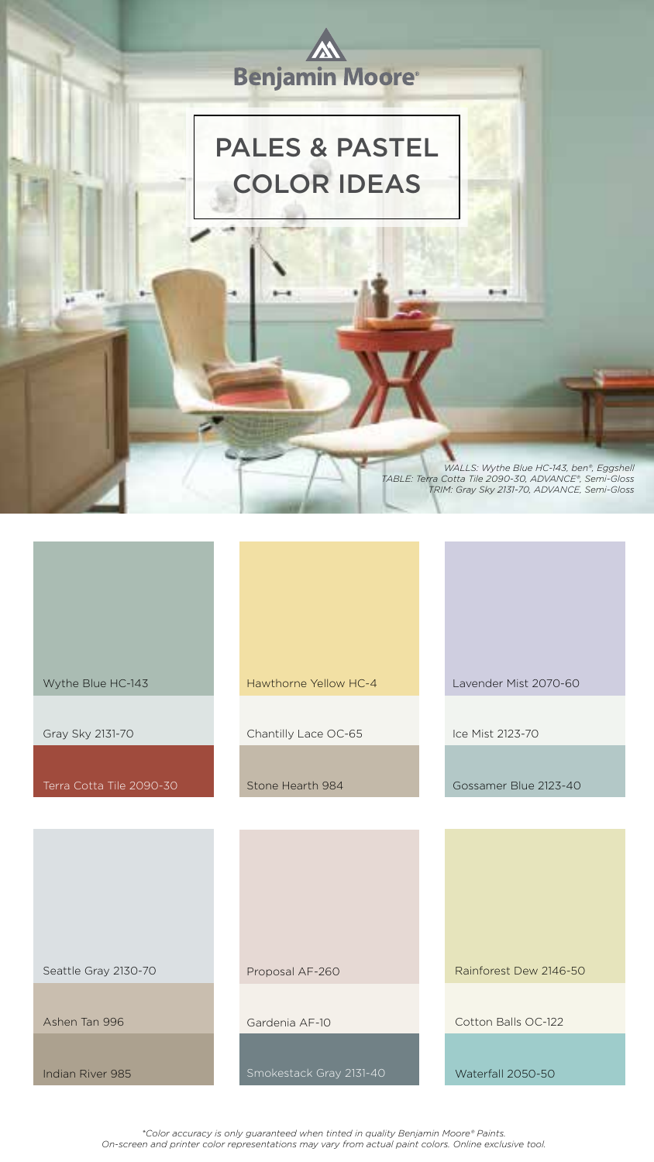*\*Color accuracy is only guaranteed when tinted in quality Benjamin Moore® Paints. On-screen and printer color representations may vary from actual paint colors. Online exclusive tool.* 



Terra Cotta Tile 2090-30

Wythe Blue HC-143 Hawthorne Yellow HC-4

Gray Sky 2131-70 Chantilly Lace OC-65

Stone Hearth 984

| Seattle Gray 2130-70 | Proposal AF-260         | Rainforest Dew 2146-50 |
|----------------------|-------------------------|------------------------|
| Ashen Tan 996        | Gardenia AF-10          | Cotton Balls OC-122    |
|                      |                         |                        |
| Indian River 985     | Smokestack Gray 2131-40 | Waterfall 2050-50      |

Lavender Mist 2070-60

Ice Mist 2123-70

Gossamer Blue 2123-40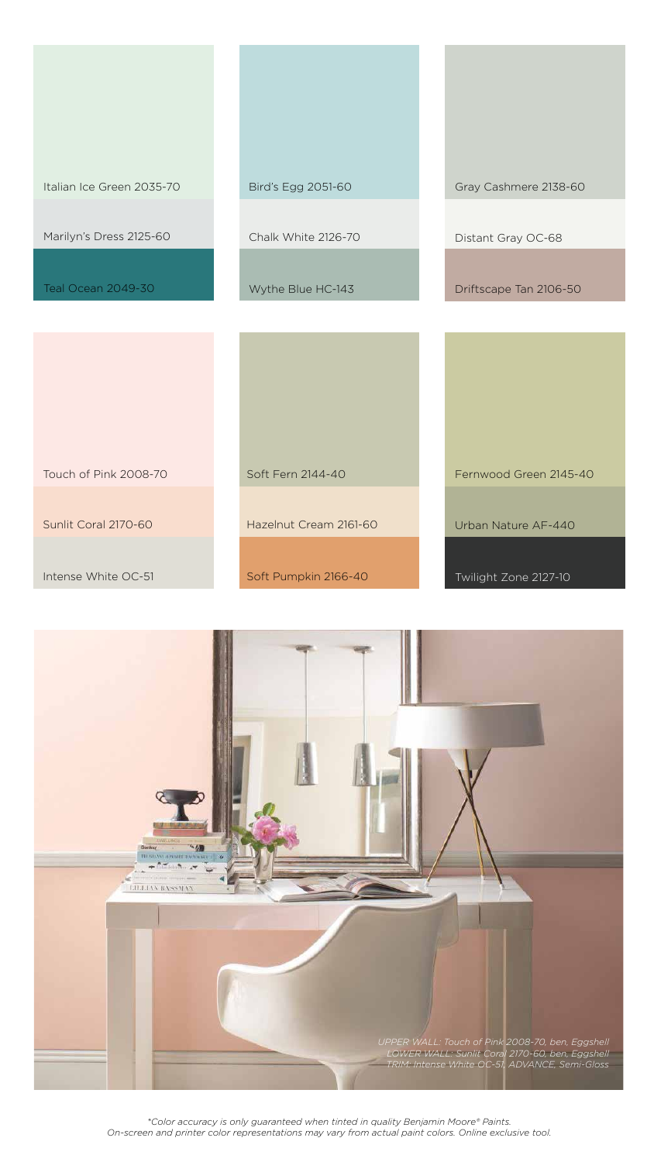*\*Color accuracy is only guaranteed when tinted in quality Benjamin Moore® Paints. On-screen and printer color representations may vary from actual paint colors. Online exclusive tool.* 

| Italian Ice Green 2035-70 | Bird's Egg 2051-60     | Gray Cashmere 2138-60  |
|---------------------------|------------------------|------------------------|
| Marilyn's Dress 2125-60   | Chalk White 2126-70    | Distant Gray OC-68     |
| <b>Teal Ocean 2049-30</b> | Wythe Blue HC-143      | Driftscape Tan 2106-50 |
|                           |                        |                        |
| Touch of Pink 2008-70     | Soft Fern 2144-40      | Fernwood Green 2145-40 |
|                           |                        |                        |
| Sunlit Coral 2170-60      | Hazelnut Cream 2161-60 | Urban Nature AF-440    |
| Intense White OC-51       | Soft Pumpkin 2166-40   | Twilight Zone 2127-10  |